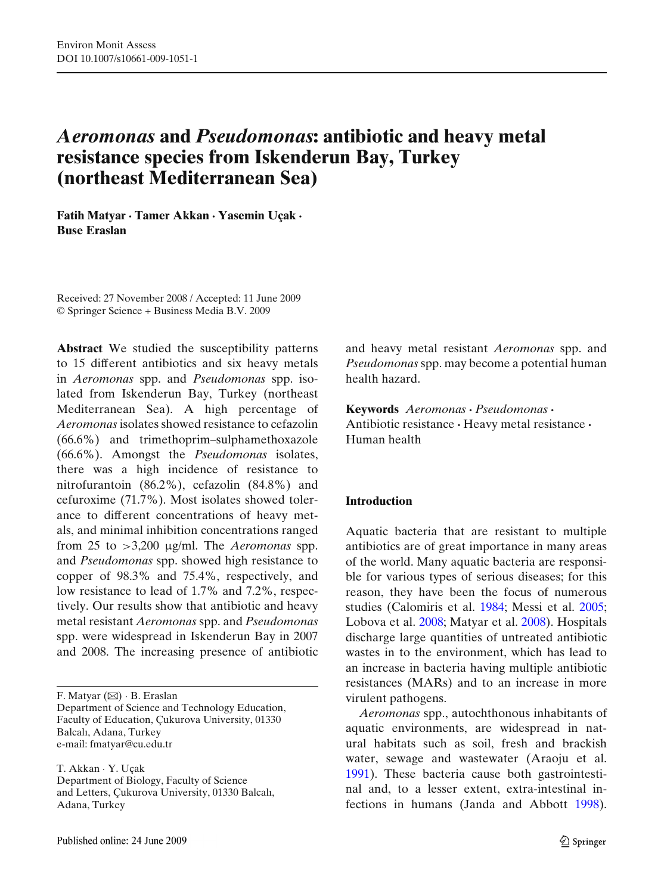# *Aeromonas* **and** *Pseudomonas***: antibiotic and heavy metal resistance species from Iskenderun Bay, Turkey (northeast Mediterranean Sea)**

**Fatih Matyar · Tamer Akkan · Yasemin Uçak · Buse Eraslan**

Received: 27 November 2008 / Accepted: 11 June 2009 © Springer Science + Business Media B.V. 2009

**Abstract** We studied the susceptibility patterns to 15 different antibiotics and six heavy metals in *Aeromonas* spp. and *Pseudomonas* spp. isolated from Iskenderun Bay, Turkey (northeast Mediterranean Sea). A high percentage of *Aeromonas* isolates showed resistance to cefazolin (66.6%) and trimethoprim–sulphamethoxazole (66.6%). Amongst the *Pseudomonas* isolates, there was a high incidence of resistance to nitrofurantoin (86.2%), cefazolin (84.8%) and cefuroxime (71.7%). Most isolates showed tolerance to different concentrations of heavy metals, and minimal inhibition concentrations ranged from 25 to >3,200 μg/ml. The *Aeromonas* spp. and *Pseudomonas* spp. showed high resistance to copper of 98.3% and 75.4%, respectively, and low resistance to lead of 1.7% and 7.2%, respectively. Our results show that antibiotic and heavy metal resistant *Aeromonas* spp. and *Pseudomonas* spp. were widespread in Iskenderun Bay in 2007 and 2008. The increasing presence of antibiotic

F. Matyar  $(\boxtimes) \cdot$  B. Eraslan Department of Science and Technology Education, Faculty of Education, Çukurova University, 01330 Balcalı, Adana, Turkey e-mail: fmatyar@cu.edu.tr

T. Akkan · Y. Uçak Department of Biology, Faculty of Science and Letters, Çukurova University, 01330 Balcalı, Adana, Turkey

and heavy metal resistant *Aeromonas* spp. and *Pseudomonas*spp. may become a potential human health hazard.

**Keywords** *Aeromonas* **·** *Pseudomonas* **·** Antibiotic resistance **·** Heavy metal resistance **·** Human health

### **Introduction**

Aquatic bacteria that are resistant to multiple antibiotics are of great importance in many areas of the world. Many aquatic bacteria are responsible for various types of serious diseases; for this reason, they have been the focus of numerous studies (Calomiris et al[.](#page-9-0) [1984;](#page-9-0) Messi et al[.](#page-10-0) [2005;](#page-10-0) Lobova et al[.](#page-10-0) [2008;](#page-10-0) Matyar et al[.](#page-10-0) [2008\)](#page-10-0). Hospitals discharge large quantities of untreated antibiotic wastes in to the environment, which has lead to an increase in bacteria having multiple antibiotic resistances (MARs) and to an increase in more virulent pathogens.

*Aeromonas* spp., autochthonous inhabitants of aquatic environments, are widespread in natural habitats such as soil, fresh and brackish water, sewage and wastewater (Araoju et al[.](#page-9-0) [1991\)](#page-9-0). These bacteria cause both gastrointestinal and, to a lesser extent, extra-intestinal infections in humans (Janda and Abbot[t](#page-10-0) [1998\)](#page-10-0).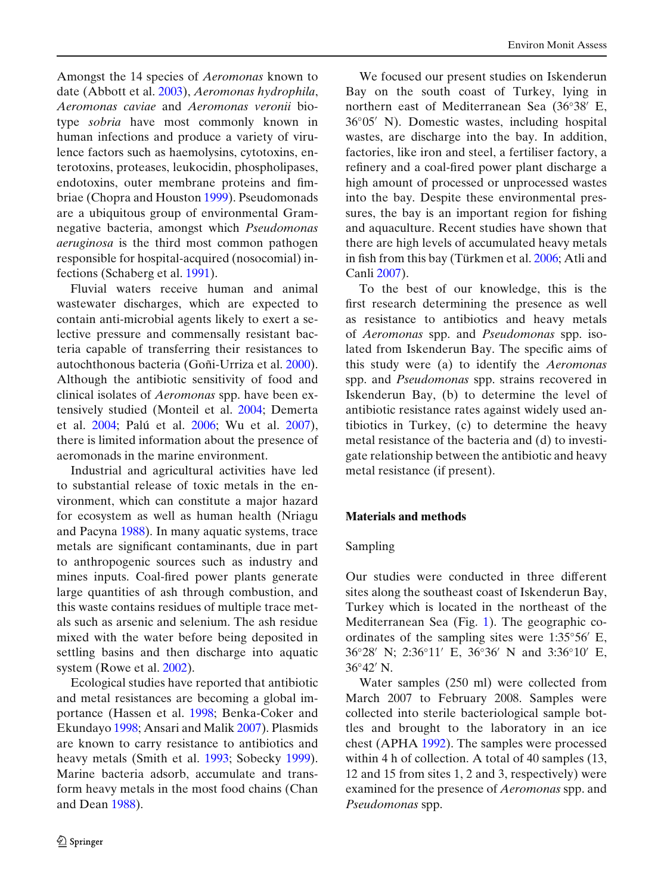Amongst the 14 species of *Aeromonas* known to date (Abbott et al[.](#page-9-0) [2003\)](#page-9-0), *Aeromonas hydrophila*, *Aeromonas caviae* and *Aeromonas veronii* biotype *sobria* have most commonly known in human infections and produce a variety of virulence factors such as haemolysins, cytotoxins, enterotoxins, proteases, leukocidin, phospholipases, endotoxins, outer membrane proteins and fimbriae (Chopra and Housto[n](#page-9-0) [1999](#page-9-0)). Pseudomonads are a ubiquitous group of environmental Gramnegative bacteria, amongst which *Pseudomonas aeruginosa* is the third most common pathogen responsible for hospital-acquired (nosocomial) infections (Schaberg et al[.](#page-11-0) [1991](#page-11-0)).

Fluvial waters receive human and animal wastewater discharges, which are expected to contain anti-microbial agents likely to exert a selective pressure and commensally resistant bacteria capable of transferring their resistances to autochthonous bacteria (Goñi-Urriza et al[.](#page-10-0) [2000\)](#page-10-0). Although the antibiotic sensitivity of food and clinical isolates of *Aeromonas* spp. have been extensively studied (Monteil et al[.](#page-10-0) [2004](#page-10-0); Demerta et al[.](#page-10-0) [2004](#page-10-0); Palú et al[.](#page-11-0) [2006;](#page-11-0) Wu et al. [2007\)](#page-11-0), there is limited information about the presence of aeromonads in the marine environment.

Industrial and agricultural activities have led to substantial release of toxic metals in the environment, which can constitute a major hazard for ecosystem as well as human health (Nriagu and Pacyn[a](#page-11-0) [1988\)](#page-11-0). In many aquatic systems, trace metals are significant contaminants, due in part to anthropogenic sources such as industry and mines inputs. Coal-fired power plants generate large quantities of ash through combustion, and this waste contains residues of multiple trace metals such as arsenic and selenium. The ash residue mixed with the water before being deposited in settling basins and then discharge into aquatic system (Rowe et al[.](#page-11-0) [2002](#page-11-0)).

Ecological studies have reported that antibiotic and metal resistances are becoming a global importance (Hassen et al[.](#page-10-0) [1998](#page-10-0); Benka-Coker and Ekunday[o](#page-9-0) [1998;](#page-9-0) Ansari and Mali[k](#page-9-0) [2007](#page-9-0)). Plasmids are known to carry resistance to antibiotics and heavy metals (Smith et al[.](#page-11-0) [1993;](#page-11-0) Sobeck[y](#page-11-0) [1999\)](#page-11-0). Marine bacteria adsorb, accumulate and transform heavy metals in the most food chains (Chan and Dea[n](#page-9-0) [1988\)](#page-9-0).

We focused our present studies on Iskenderun Bay on the south coast of Turkey, lying in northern east of Mediterranean Sea (36◦38 E, 36◦05 N). Domestic wastes, including hospital wastes, are discharge into the bay. In addition, factories, like iron and steel, a fertiliser factory, a refinery and a coal-fired power plant discharge a high amount of processed or unprocessed wastes into the bay. Despite these environmental pressures, the bay is an important region for fishing and aquaculture. Recent studies have shown that there are high levels of accumulated heavy metals in fish from this bay (Türkmen et al[.](#page-11-0) [2006](#page-11-0); Atli and Canl[i](#page-9-0) [2007\)](#page-9-0).

To the best of our knowledge, this is the first research determining the presence as well as resistance to antibiotics and heavy metals of *Aeromonas* spp. and *Pseudomonas* spp. isolated from Iskenderun Bay. The specific aims of this study were (a) to identify the *Aeromonas* spp. and *Pseudomonas* spp. strains recovered in Iskenderun Bay, (b) to determine the level of antibiotic resistance rates against widely used antibiotics in Turkey, (c) to determine the heavy metal resistance of the bacteria and (d) to investigate relationship between the antibiotic and heavy metal resistance (if present).

### **Materials and methods**

### Sampling

Our studies were conducted in three different sites along the southeast coast of Iskenderun Bay, Turkey which is located in the northeast of the Mediterranean Sea (Fig. [1\)](#page-2-0). The geographic coordinates of the sampling sites were 1:35◦56 E, 36◦28 N; 2:36◦11 E, 36◦36 N and 3:36◦10 E,  $36°42'$  N.

Water samples (250 ml) were collected from March 2007 to February 2008. Samples were collected into sterile bacteriological sample bottles and brought to the laboratory in an ice chest (APH[A](#page-9-0) [1992\)](#page-9-0). The samples were processed within 4 h of collection. A total of 40 samples (13, 12 and 15 from sites 1, 2 and 3, respectively) were examined for the presence of *Aeromonas* spp. and *Pseudomonas* spp.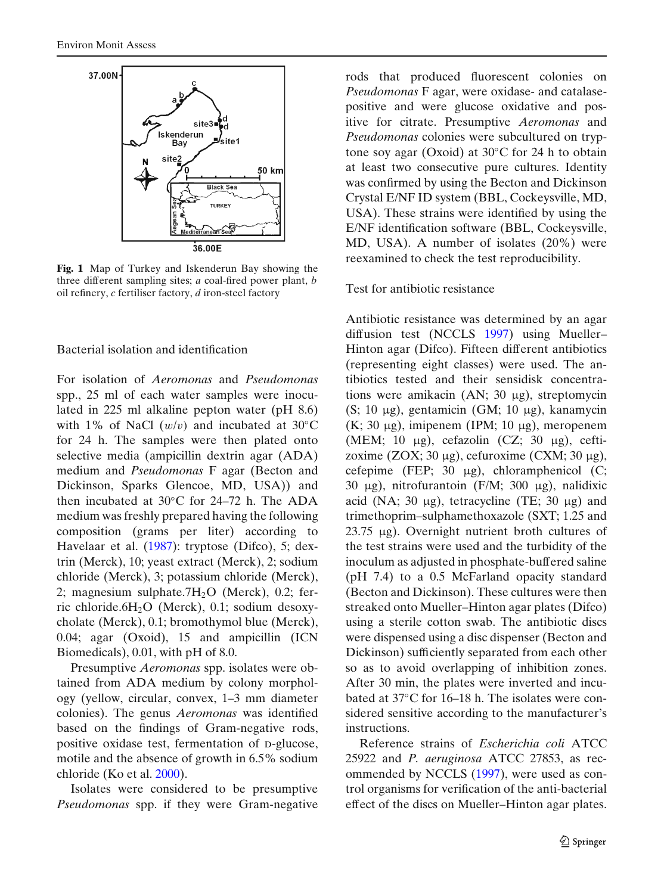<span id="page-2-0"></span>

**Fig. 1** Map of Turkey and Iskenderun Bay showing the three different sampling sites; *a* coal-fired power plant, *b* oil refinery, *c* fertiliser factory, *d* iron-steel factory

Bacterial isolation and identification

For isolation of *Aeromonas* and *Pseudomonas* spp., 25 ml of each water samples were inoculated in 225 ml alkaline pepton water (pH 8.6) with 1% of NaCl  $(w/v)$  and incubated at 30°C for 24 h. The samples were then plated onto selective media (ampicillin dextrin agar (ADA) medium and *Pseudomonas* F agar (Becton and Dickinson, Sparks Glencoe, MD, USA)) and then incubated at 30◦C for 24–72 h. The ADA medium was freshly prepared having the following composition (grams per liter) according to Havelaar et al[.](#page-10-0) [\(1987](#page-10-0)): tryptose (Difco), 5; dextrin (Merck), 10; yeast extract (Merck), 2; sodium chloride (Merck), 3; potassium chloride (Merck), 2; magnesium sulphate.7 $H_2O$  (Merck), 0.2; ferric chloride.6H2O (Merck), 0.1; sodium desoxycholate (Merck), 0.1; bromothymol blue (Merck), 0.04; agar (Oxoid), 15 and ampicillin (ICN Biomedicals), 0.01, with pH of 8.0.

Presumptive *Aeromonas* spp. isolates were obtained from ADA medium by colony morphology (yellow, circular, convex, 1–3 mm diameter colonies). The genus *Aeromonas* was identified based on the findings of Gram-negative rods, positive oxidase test, fermentation of p-glucose, motile and the absence of growth in 6.5% sodium chloride (Ko et al[.](#page-10-0) [2000](#page-10-0)).

Isolates were considered to be presumptive *Pseudomonas* spp. if they were Gram-negative rods that produced fluorescent colonies on *Pseudomonas* F agar, were oxidase- and catalasepositive and were glucose oxidative and positive for citrate. Presumptive *Aeromonas* and *Pseudomonas* colonies were subcultured on tryptone soy agar (Oxoid) at 30◦C for 24 h to obtain at least two consecutive pure cultures. Identity was confirmed by using the Becton and Dickinson Crystal E/NF ID system (BBL, Cockeysville, MD, USA). These strains were identified by using the E/NF identification software (BBL, Cockeysville, MD, USA). A number of isolates (20%) were reexamined to check the test reproducibility.

### Test for antibiotic resistance

Antibiotic resistance was determined by an agar diffusion test (NCCL[S](#page-10-0) [1997](#page-10-0)) using Mueller– Hinton agar (Difco). Fifteen different antibiotics (representing eight classes) were used. The antibiotics tested and their sensidisk concentrations were amikacin (AN; 30 μg), streptomycin (S; 10 μg), gentamicin (GM; 10 μg), kanamycin (K; 30 μg), imipenem (IPM; 10 μg), meropenem (MEM; 10 μg), cefazolin (CZ; 30 μg), ceftizoxime (ZOX; 30 μg), cefuroxime (CXM; 30 μg), cefepime (FEP; 30 μg), chloramphenicol (C; 30 μg), nitrofurantoin (F/M; 300 μg), nalidixic acid (NA; 30 μg), tetracycline (TE; 30 μg) and trimethoprim–sulphamethoxazole (SXT; 1.25 and 23.75 μg). Overnight nutrient broth cultures of the test strains were used and the turbidity of the inoculum as adjusted in phosphate-buffered saline (pH 7.4) to a 0.5 McFarland opacity standard (Becton and Dickinson). These cultures were then streaked onto Mueller–Hinton agar plates (Difco) using a sterile cotton swab. The antibiotic discs were dispensed using a disc dispenser (Becton and Dickinson) sufficiently separated from each other so as to avoid overlapping of inhibition zones. After 30 min, the plates were inverted and incubated at 37◦C for 16–18 h. The isolates were considered sensitive according to the manufacturer's instructions.

Reference strains of *Escherichia coli* ATCC 25922 and *P. aeruginosa* ATCC 27853, as recommended by NCCL[S](#page-10-0) [\(1997](#page-10-0)), were used as control organisms for verification of the anti-bacterial effect of the discs on Mueller–Hinton agar plates.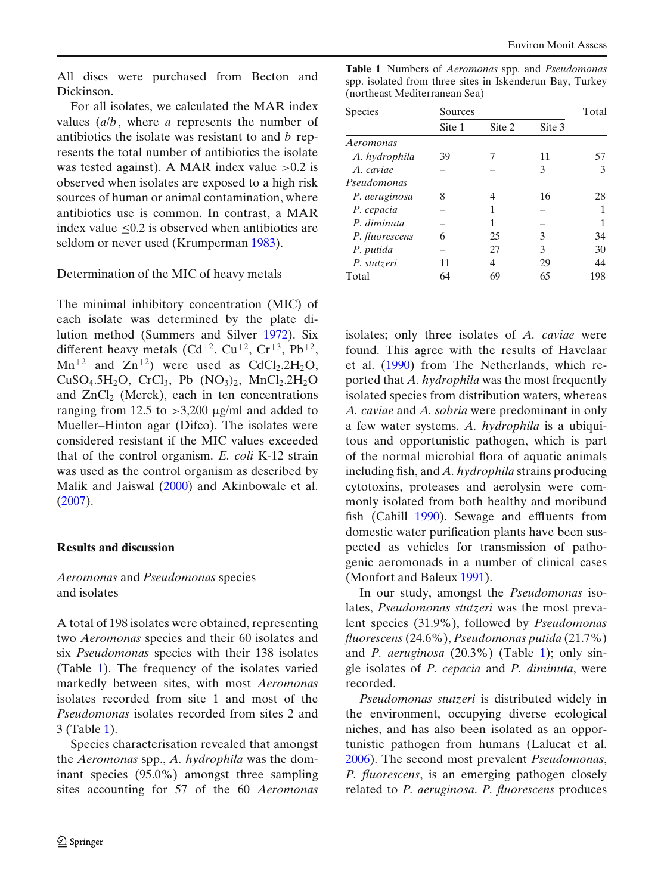All discs were purchased from Becton and Dickinson.

For all isolates, we calculated the MAR index values (*a*/*b*, where *a* represents the number of antibiotics the isolate was resistant to and *b* represents the total number of antibiotics the isolate was tested against). A MAR index value  $>0.2$  is observed when isolates are exposed to a high risk sources of human or animal contamination, where antibiotics use is common. In contrast, a MAR index value ≤0.2 is observed when antibiotics are seldom or never used (Krumperma[n](#page-10-0) [1983](#page-10-0)).

### Determination of the MIC of heavy metals

The minimal inhibitory concentration (MIC) of each isolate was determined by the plate dilution method (Summers and Silve[r](#page-11-0) [1972](#page-11-0)). Six different heavy metals  $(Cd^{+2}$ ,  $Cu^{+2}$ ,  $Cr^{+3}$ ,  $Pb^{+2}$ ,  $Mn^{+2}$  and  $Zn^{+2}$ ) were used as CdCl<sub>2</sub>.2H<sub>2</sub>O,  $CuSO<sub>4</sub>.5H<sub>2</sub>O$ ,  $CrCl<sub>3</sub>$ ,  $Pb$   $(NO<sub>3</sub>)<sub>2</sub>$ ,  $MnCl<sub>2</sub>.2H<sub>2</sub>O$ and  $ZnCl<sub>2</sub>$  (Merck), each in ten concentrations ranging from 12.5 to  $>$ 3,200 μg/ml and added to Mueller–Hinton agar (Difco). The isolates were considered resistant if the MIC values exceeded that of the control organism. *E. coli* K-12 strain was used as the control organism as described by Malik and Jaiswa[l](#page-10-0) [\(2000\)](#page-10-0) and Akinbowale et al[.](#page-9-0) [\(2007\)](#page-9-0).

### **Results and discussion**

## *Aeromonas* and *Pseudomonas* species and isolates

A total of 198 isolates were obtained, representing two *Aeromonas* species and their 60 isolates and six *Pseudomonas* species with their 138 isolates (Table 1). The frequency of the isolates varied markedly between sites, with most *Aeromonas* isolates recorded from site 1 and most of the *Pseudomonas* isolates recorded from sites 2 and 3 (Table 1).

Species characterisation revealed that amongst the *Aeromonas* spp., *A. hydrophila* was the dominant species (95.0%) amongst three sampling sites accounting for 57 of the 60 *Aeromonas*

**Table 1** Numbers of *Aeromonas* spp. and *Pseudomonas* spp. isolated from three sites in Iskenderun Bay, Turkey (northeast Mediterranean Sea)

| <b>Species</b> | Sources | Total  |        |     |
|----------------|---------|--------|--------|-----|
|                | Site 1  | Site 2 | Site 3 |     |
| Aeromonas      |         |        |        |     |
| A. hydrophila  | 39      |        | 11     | 57  |
| A. caviae      |         |        | 3      | 3   |
| Pseudomonas    |         |        |        |     |
| P. aeruginosa  | 8       | 4      | 16     | 28  |
| P. cepacia     |         | 1      |        |     |
| P. diminuta    |         | 1      |        |     |
| P. fluorescens | 6       | 25     | 3      | 34  |
| P. putida      |         | 27     | 3      | 30  |
| P. stutzeri    | 11      | 4      | 29     | 44  |
| Total          | 64      | 69     | 65     | 198 |

isolates; only three isolates of *A. caviae* were found. This agree with the results of Havelaar et al[.](#page-10-0) [\(1990\)](#page-10-0) from The Netherlands, which reported that *A. hydrophila* was the most frequently isolated species from distribution waters, whereas *A. caviae* and *A. sobria* were predominant in only a few water systems. *A. hydrophila* is a ubiquitous and opportunistic pathogen, which is part of the normal microbial flora of aquatic animals including fish, and *A. hydrophila* strains producing cytotoxins, proteases and aerolysin were commonly isolated from both healthy and moribund fish (Cahil[l](#page-9-0) [1990](#page-9-0)). Sewage and effluents from domestic water purification plants have been suspected as vehicles for transmission of pathogenic aeromonads in a number of clinical cases (Monfort and Baleu[x](#page-10-0) [1991\)](#page-10-0).

In our study, amongst the *Pseudomonas* isolates, *Pseudomonas stutzeri* was the most prevalent species (31.9%), followed by *Pseudomonas fluorescens* (24.6%), *Pseudomonas putida* (21.7%) and *P. aeruginosa* (20.3%) (Table 1); only single isolates of *P. cepacia* and *P. diminuta*, were recorded.

*Pseudomonas stutzeri* is distributed widely in the environment, occupying diverse ecological niches, and has also been isolated as an opportunistic pathogen from humans (Lalucat et al[.](#page-10-0) [2006\)](#page-10-0). The second most prevalent *Pseudomonas*, *P. fluorescens*, is an emerging pathogen closely related to *P. aeruginosa*. *P. fluorescens* produces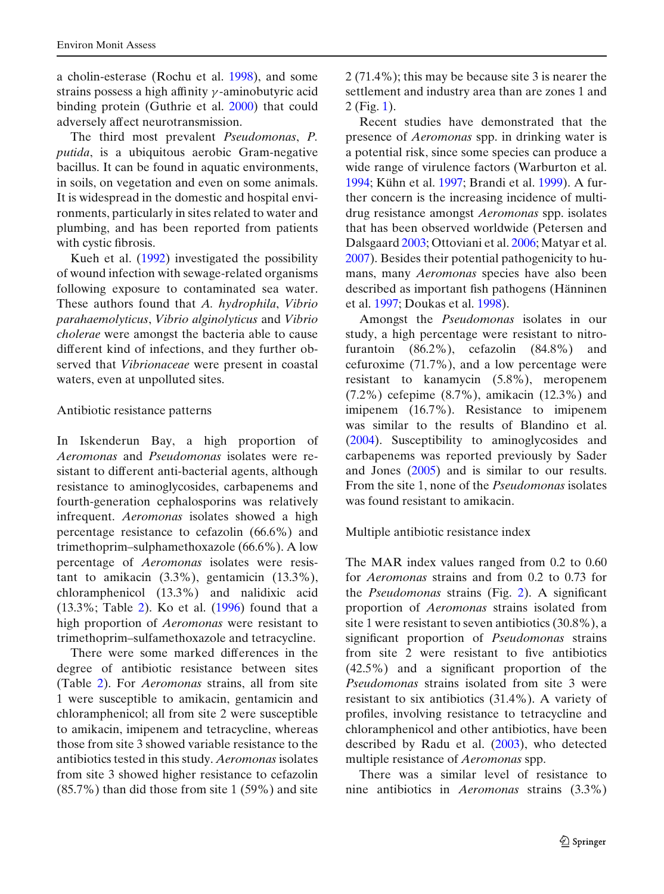a cholin-esterase (Rochu et al[.](#page-11-0) [1998\)](#page-11-0), and some strains possess a high affinity γ -aminobutyric acid binding protein (Guthrie et al[.](#page-10-0) [2000\)](#page-10-0) that could adversely affect neurotransmission.

The third most prevalent *Pseudomonas*, *P. putida*, is a ubiquitous aerobic Gram-negative bacillus. It can be found in aquatic environments, in soils, on vegetation and even on some animals. It is widespread in the domestic and hospital environments, particularly in sites related to water and plumbing, and has been reported from patients with cystic fibrosis.

Kueh et al[.](#page-10-0) [\(1992](#page-10-0)) investigated the possibility of wound infection with sewage-related organisms following exposure to contaminated sea water. These authors found that *A. hydrophila*, *Vibrio parahaemolyticus*, *Vibrio alginolyticus* and *Vibrio cholerae* were amongst the bacteria able to cause different kind of infections, and they further observed that *Vibrionaceae* were present in coastal waters, even at unpolluted sites.

### Antibiotic resistance patterns

In Iskenderun Bay, a high proportion of *Aeromonas* and *Pseudomonas* isolates were resistant to different anti-bacterial agents, although resistance to aminoglycosides, carbapenems and fourth-generation cephalosporins was relatively infrequent. *Aeromonas* isolates showed a high percentage resistance to cefazolin (66.6%) and trimethoprim–sulphamethoxazole (66.6%). A low percentage of *Aeromonas* isolates were resistant to amikacin (3.3%), gentamicin (13.3%), chloramphenicol (13.3%) and nalidixic acid (13.3%; Table [2\)](#page-5-0). Ko et al[.](#page-10-0) [\(1996\)](#page-10-0) found that a high proportion of *Aeromonas* were resistant to trimethoprim–sulfamethoxazole and tetracycline.

There were some marked differences in the degree of antibiotic resistance between sites (Table [2\)](#page-5-0). For *Aeromonas* strains, all from site 1 were susceptible to amikacin, gentamicin and chloramphenicol; all from site 2 were susceptible to amikacin, imipenem and tetracycline, whereas those from site 3 showed variable resistance to the antibiotics tested in this study. *Aeromonas* isolates from site 3 showed higher resistance to cefazolin (85.7%) than did those from site 1 (59%) and site 2 (71.4%); this may be because site 3 is nearer the settlement and industry area than are zones 1 and 2 (Fig. [1\)](#page-2-0).

Recent studies have demonstrated that the presence of *Aeromonas* spp. in drinking water is a potential risk, since some species can produce a wide range of virulence factors (Warburton et al[.](#page-11-0) [1994;](#page-11-0) Kühn et al[.](#page-10-0) [1997;](#page-10-0) Brandi et al[.](#page-9-0) [1999\)](#page-9-0). A further concern is the increasing incidence of multidrug resistance amongst *Aeromonas* spp. isolates that has been observed worldwide (Petersen and Dalsgaar[d](#page-11-0) [2003](#page-11-0); Ottoviani et al[.](#page-11-0) [2006;](#page-11-0) Matyar et al[.](#page-10-0) [2007\)](#page-10-0). Besides their potential pathogenicity to humans, many *Aeromonas* species have also been described as important fish pathogens (Hänninen et al[.](#page-10-0) [1997;](#page-10-0) Doukas et al[.](#page-10-0) [1998\)](#page-10-0).

Amongst the *Pseudomonas* isolates in our study, a high percentage were resistant to nitrofurantoin (86.2%), cefazolin (84.8%) and cefuroxime (71.7%), and a low percentage were resistant to kanamycin (5.8%), meropenem (7.2%) cefepime (8.7%), amikacin (12.3%) and imipenem (16.7%). Resistance to imipenem was similar to the results of Blandino et al[.](#page-9-0) [\(2004\)](#page-9-0). Susceptibility to aminoglycosides and carbapenems was reported previously by Sader and Jone[s](#page-11-0) [\(2005](#page-11-0)) and is similar to our results. From the site 1, none of the *Pseudomonas* isolates was found resistant to amikacin.

### Multiple antibiotic resistance index

The MAR index values ranged from 0.2 to 0.60 for *Aeromonas* strains and from 0.2 to 0.73 for the *Pseudomonas* strains (Fig. [2\)](#page-6-0). A significant proportion of *Aeromonas* strains isolated from site 1 were resistant to seven antibiotics (30.8%), a significant proportion of *Pseudomonas* strains from site 2 were resistant to five antibiotics (42.5%) and a significant proportion of the *Pseudomonas* strains isolated from site 3 were resistant to six antibiotics (31.4%). A variety of profiles, involving resistance to tetracycline and chloramphenicol and other antibiotics, have been described by Radu et al[.](#page-11-0) [\(2003](#page-11-0)), who detected multiple resistance of *Aeromonas* spp.

There was a similar level of resistance to nine antibiotics in *Aeromonas* strains (3.3%)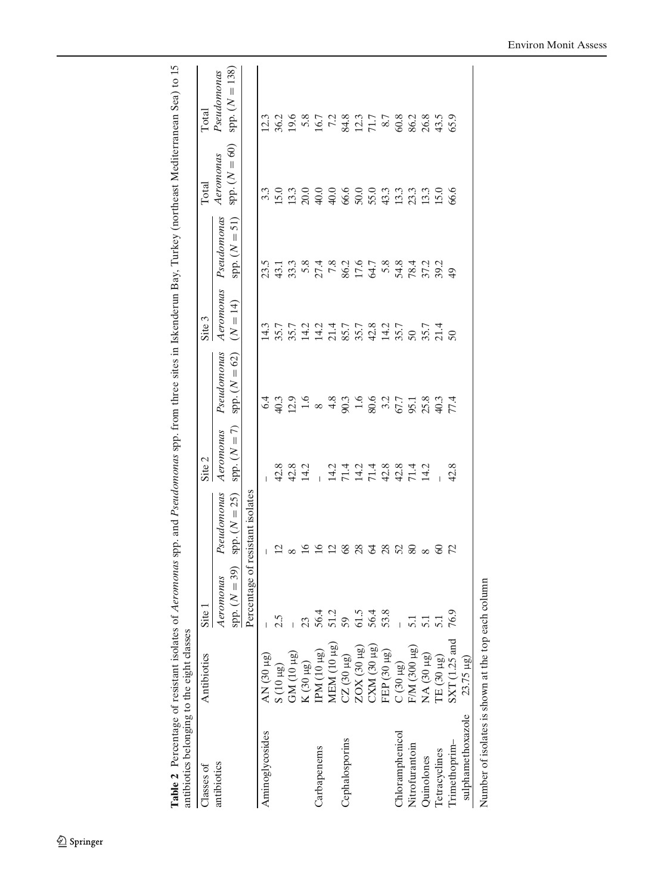<span id="page-5-0"></span>

| j<br>I                             |                                      |
|------------------------------------|--------------------------------------|
| į                                  |                                      |
| $\sim$                             |                                      |
| $\frac{1}{2}$                      |                                      |
| l                                  |                                      |
| くうく<br>j                           |                                      |
| S.ru<br>j<br>í<br>ı<br>í<br>Ì<br>i | $\frac{1}{2}$                        |
| f<br>į                             | Sept.<br>I<br>i<br>I<br>I<br>ĺ<br>ׇ֠ |
| $\frac{1}{2}$<br>l<br>١            | l<br>j                               |
| I<br>ī<br>I<br>I                   | ļ<br>ļ                               |

| Classes of                        | Antibiotics                        | Site                                      |                                  | Site 2                                                  |                 | Site 3     |                | Total           | Total                  |
|-----------------------------------|------------------------------------|-------------------------------------------|----------------------------------|---------------------------------------------------------|-----------------|------------|----------------|-----------------|------------------------|
| antibiotics                       |                                    | Aeromonas                                 | Pseudomonas                      | Aeromonas                                               | Pseudomonas     | Aeromonas  | Pseudomonas    | Aeromonas       | Pseudomonas            |
|                                   |                                    | ${\rm spp.}\,(N=39)$                      | $sp. (N = 25)$                   | spp. $(N = 7)$                                          | $spp. (N = 62)$ | $(N = 14)$ | $sp. (N = 51)$ | spp. $(N = 60)$ | $spp. (N = 138)$       |
|                                   |                                    |                                           | Percentage of resistant isolates |                                                         |                 |            |                |                 |                        |
| Aminoglycosides                   | $AN(30 \mu g)$                     |                                           | $\mathbb{L}$                     |                                                         |                 | 14.3       | 23.5           |                 | 23                     |
|                                   | $(10 \mu g)$                       | 2.5                                       | $\Xi$                            | 42.8                                                    |                 |            |                |                 |                        |
|                                   |                                    |                                           |                                  |                                                         |                 |            |                |                 |                        |
|                                   | GM (10 $\mu$ g)<br>K (30 $\mu$ g)  | 23                                        | 26                               |                                                         |                 |            |                |                 |                        |
| Carbapenems                       | IPM (10 µg)                        |                                           |                                  |                                                         |                 |            |                |                 |                        |
|                                   | <b>MEM</b> (10 µg)                 | 56.4<br>51.2<br>59                        | $\Xi$                            |                                                         |                 |            |                |                 |                        |
| Cephalosporins                    | $CZ(30 \mu g)$                     |                                           |                                  |                                                         |                 |            |                |                 |                        |
|                                   | ZOX (30 µg)                        | 61.5                                      | 8833888                          |                                                         |                 |            |                |                 |                        |
|                                   | $CNM(30 \mu g)$                    | 56.4                                      |                                  |                                                         |                 |            |                |                 |                        |
|                                   | FEP (30 µg)                        | 53.8                                      |                                  |                                                         |                 |            |                |                 |                        |
| Chloramphenicol                   | $C(30 \mu g)$<br>F/M $(300 \mu g)$ |                                           |                                  |                                                         |                 |            |                |                 |                        |
| Nitrofurantoin                    |                                    |                                           |                                  |                                                         |                 |            |                |                 |                        |
| Quinolones                        | NA (30 µg)                         | $\frac{1}{5}$ $\frac{1}{5}$ $\frac{1}{5}$ |                                  | 8.21 111211884101 8.88<br>24 11 11 11 12 13 14 14 15 16 |                 |            |                |                 | $36987778377788383835$ |
| Tetracyclines                     | TE (30 µg)                         |                                           | 8 Z                              |                                                         |                 |            |                |                 |                        |
| Trimethoprim-                     | $SXT$ (1.25 and                    | 76.9                                      |                                  |                                                         |                 |            |                |                 |                        |
| sulphamethoxazole                 | 23.75 µg)                          |                                           |                                  |                                                         |                 |            |                |                 |                        |
| しゃしん こうしょう こうしん しゅうしん しんしゅう しゅうしゅ |                                    |                                           |                                  |                                                         |                 |            |                |                 |                        |

Number of isolates is shown at the top each column Number of isolates is shown at the top each column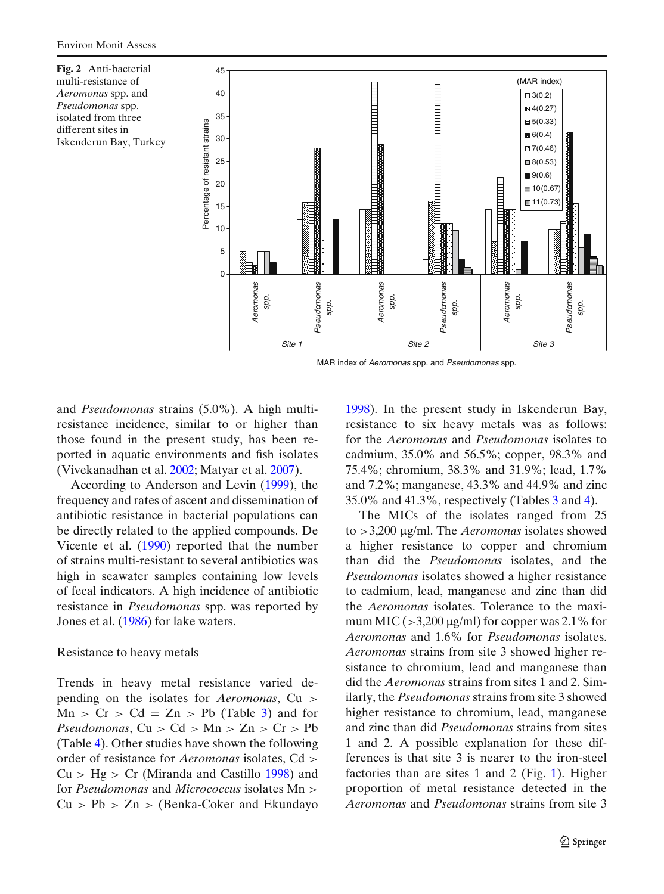<span id="page-6-0"></span>**Fig. 2** Anti-bacterial multi-resistance of *Aeromonas* spp. and *Pseudomonas* spp. isolated from three different sites in Iskenderun Bay, Turkey



and *Pseudomonas* strains (5.0%). A high multiresistance incidence, similar to or higher than those found in the present study, has been reported in aquatic environments and fish isolates (Vivekanadhan et al[.](#page-11-0) [2002](#page-11-0); Matyar et al[.](#page-10-0) [2007\)](#page-10-0).

According to Anderson and Levi[n](#page-9-0) [\(1999](#page-9-0)), the frequency and rates of ascent and dissemination of antibiotic resistance in bacterial populations can be directly related to the applied compounds. De Vicente et al[.](#page-10-0) [\(1990](#page-10-0)) reported that the number of strains multi-resistant to several antibiotics was high in seawater samples containing low levels of fecal indicators. A high incidence of antibiotic resistance in *Pseudomonas* spp. was reported by Jones et al[.](#page-10-0) [\(1986](#page-10-0)) for lake waters.

#### Resistance to heavy metals

Trends in heavy metal resistance varied depending on the isolates for *Aeromonas*, Cu >  $Mn > Cr > Cd = Zn > Pb$  (Table [3\)](#page-7-0) and for *Pseudomonas*,  $Cu > Cd > Mn > Zn > Cr > Pb$ (Table [4\)](#page-8-0). Other studies have shown the following order of resistance for *Aeromonas* isolates, Cd >  $Cu > Hg > Cr$  (Miranda and Castill[o](#page-10-0) [1998\)](#page-10-0) and for *Pseudomonas* and *Micrococcus* isolates Mn >  $Cu > Pb > Zn > (Benka-Coker and Ekundavo)$  $Cu > Pb > Zn > (Benka-Coker and Ekundavo)$  $Cu > Pb > Zn > (Benka-Coker and Ekundavo)$  [1998\)](#page-9-0). In the present study in Iskenderun Bay, resistance to six heavy metals was as follows: for the *Aeromonas* and *Pseudomonas* isolates to cadmium, 35.0% and 56.5%; copper, 98.3% and 75.4%; chromium, 38.3% and 31.9%; lead, 1.7% and 7.2%; manganese, 43.3% and 44.9% and zinc 35.0% and 41.3%, respectively (Tables [3](#page-7-0) and [4\)](#page-8-0).

The MICs of the isolates ranged from 25 to >3,200 μg/ml. The *Aeromonas* isolates showed a higher resistance to copper and chromium than did the *Pseudomonas* isolates, and the *Pseudomonas* isolates showed a higher resistance to cadmium, lead, manganese and zinc than did the *Aeromonas* isolates. Tolerance to the maximum MIC ( $>3,200 \mu$ g/ml) for copper was 2.1% for *Aeromonas* and 1.6% for *Pseudomonas* isolates. *Aeromonas* strains from site 3 showed higher resistance to chromium, lead and manganese than did the *Aeromonas* strains from sites 1 and 2. Similarly, the *Pseudomonas* strains from site 3 showed higher resistance to chromium, lead, manganese and zinc than did *Pseudomonas* strains from sites 1 and 2. A possible explanation for these differences is that site 3 is nearer to the iron-steel factories than are sites 1 and 2 (Fig. [1\)](#page-2-0). Higher proportion of metal resistance detected in the *Aeromonas* and *Pseudomonas* strains from site 3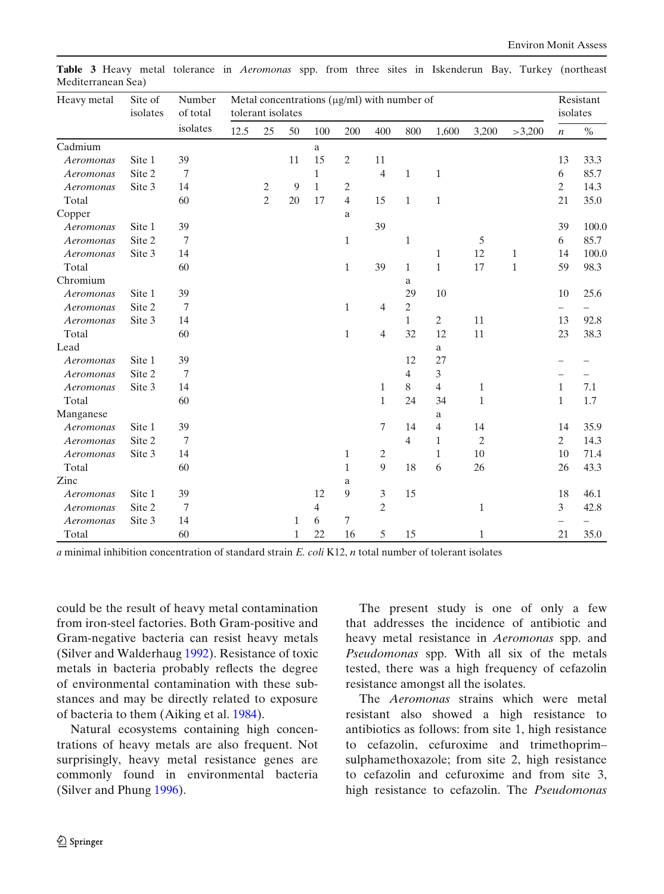| Heavy metal | Site of<br>isolates | Number<br>of total<br>isolates | tolerant isolates |                |    |              | Metal concentrations $(\mu g/ml)$ with number of |                |                          |                |                |              | Resistant<br>isolates    |                          |
|-------------|---------------------|--------------------------------|-------------------|----------------|----|--------------|--------------------------------------------------|----------------|--------------------------|----------------|----------------|--------------|--------------------------|--------------------------|
|             |                     |                                | 12.5              | 25             | 50 | 100          | 200                                              | 400            | 800                      | 1,600          | 3,200          | >3,200       | $\boldsymbol{n}$         | $\%$                     |
| Cadmium     |                     |                                |                   |                |    | a            |                                                  |                |                          |                |                |              |                          |                          |
| Aeromonas   | Site 1              | 39                             |                   |                | 11 | 15           | $\overline{c}$                                   | 11             |                          |                |                |              | 13                       | 33.3                     |
| Aeromonas   | Site 2              | 7                              |                   |                |    | $\mathbf{1}$ |                                                  | 4              | $\mathbf{1}$             | $\mathbf{1}$   |                |              | 6                        | 85.7                     |
| Aeromonas   | Site 3              | 14                             |                   | $\overline{c}$ | 9  | $\mathbf{1}$ | $\overline{c}$                                   |                |                          |                |                |              | $\overline{c}$           | 14.3                     |
| Total       |                     | 60                             |                   | $\overline{c}$ | 20 | 17           | $\overline{4}$                                   | 15             | $\mathbf{1}$             | $\mathbf{1}$   |                |              | 21                       | 35.0                     |
| Copper      |                     |                                |                   |                |    |              | a                                                |                |                          |                |                |              |                          |                          |
| Aeromonas   | Site 1              | 39                             |                   |                |    |              |                                                  | 39             |                          |                |                |              | 39                       | 100.0                    |
| Aeromonas   | Site 2              | $\overline{7}$                 |                   |                |    |              | $\mathbf{1}$                                     |                | $\mathbf{1}$             |                | 5              |              | 6                        | 85.7                     |
| Aeromonas   | Site 3              | 14                             |                   |                |    |              |                                                  |                |                          | 1              | 12             | $\mathbf{1}$ | 14                       | 100.0                    |
| Total       |                     | 60                             |                   |                |    |              | $\mathbf{1}$                                     | 39             | $\mathbf{1}$             | $\mathbf{1}$   | 17             | $\mathbf{1}$ | 59                       | 98.3                     |
| Chromium    |                     |                                |                   |                |    |              |                                                  |                | a                        |                |                |              |                          |                          |
| Aeromonas   | Site 1              | 39                             |                   |                |    |              |                                                  |                | 29                       | 10             |                |              | 10                       | 25.6                     |
| Aeromonas   | Site 2              | 7                              |                   |                |    |              | $\mathbf{1}$                                     | 4              | $\overline{c}$           |                |                |              | $\overline{\phantom{0}}$ |                          |
| Aeromonas   | Site 3              | 14                             |                   |                |    |              |                                                  |                | $\mathbf{1}$             | $\overline{2}$ | 11             |              | 13                       | 92.8                     |
| Total       |                     | 60                             |                   |                |    |              | $\mathbf{1}$                                     | $\overline{4}$ | 32                       | 12             | 11             |              | 23                       | 38.3                     |
| Lead        |                     |                                |                   |                |    |              |                                                  |                |                          | a              |                |              |                          |                          |
| Aeromonas   | Site 1              | 39                             |                   |                |    |              |                                                  |                | 12                       | 27             |                |              |                          |                          |
| Aeromonas   | Site 2              | $\tau$                         |                   |                |    |              |                                                  |                | $\overline{\mathcal{L}}$ | 3              |                |              |                          |                          |
| Aeromonas   | Site 3              | 14                             |                   |                |    |              |                                                  | 1              | 8                        | $\overline{4}$ | $\mathbf{1}$   |              | $\mathbf{1}$             | 7.1                      |
| Total       |                     | 60                             |                   |                |    |              |                                                  | $\mathbf{1}$   | 24                       | 34             | $\mathbf{1}$   |              | $\mathbf{1}$             | 1.7                      |
| Manganese   |                     |                                |                   |                |    |              |                                                  |                |                          | a              |                |              |                          |                          |
| Aeromonas   | Site 1              | 39                             |                   |                |    |              |                                                  | $\sqrt{ }$     | 14                       | $\overline{4}$ | 14             |              | 14                       | 35.9                     |
| Aeromonas   | Site 2              | $\tau$                         |                   |                |    |              |                                                  |                | 4                        | $\mathbf{1}$   | $\mathfrak{2}$ |              | $\mathbf{2}$             | 14.3                     |
| Aeromonas   | Site 3              | 14                             |                   |                |    |              | $\mathbf{1}$                                     | 2              |                          | $\mathbf{1}$   | 10             |              | 10                       | 71.4                     |
| Total       |                     | 60                             |                   |                |    |              | $\mathbf{1}$                                     | 9              | 18                       | 6              | 26             |              | 26                       | 43.3                     |
| Zinc        |                     |                                |                   |                |    |              | a                                                |                |                          |                |                |              |                          |                          |
| Aeromonas   | Site 1              | 39                             |                   |                |    | 12           | 9                                                | 3              | 15                       |                |                |              | 18                       | 46.1                     |
| Aeromonas   | Site 2              | $\tau$                         |                   |                |    | 4            |                                                  | $\overline{c}$ |                          |                | $\mathbf{1}$   |              | 3                        | 42.8                     |
| Aeromonas   | Site 3              | 14                             |                   |                | 1  | 6            | 7                                                |                |                          |                |                |              | $\overline{\phantom{0}}$ | $\overline{\phantom{0}}$ |
| Total       |                     | 60                             |                   |                | 1  | 22           | 16                                               | 5              | 15                       |                | $\mathbf{1}$   |              | 21                       | 35.0                     |

<span id="page-7-0"></span>**Table 3** Heavy metal tolerance in *Aeromonas* spp. from three sites in Iskenderun Bay, Turkey (northeast Mediterranean Sea)

*a* minimal inhibition concentration of standard strain *E. coli* K12, *n* total number of tolerant isolates

could be the result of heavy metal contamination from iron-steel factories. Both Gram-positive and Gram-negative bacteria can resist heavy metals (Silver and Walderhau[g](#page-11-0) [1992](#page-11-0)). Resistance of toxic metals in bacteria probably reflects the degree of environmental contamination with these substances and may be directly related to exposure of bacteria to them (Aiking et al[.](#page-9-0) [1984\)](#page-9-0).

Natural ecosystems containing high concentrations of heavy metals are also frequent. Not surprisingly, heavy metal resistance genes are commonly found in environmental bacteria (Silver and Phun[g](#page-11-0) [1996](#page-11-0)).

The present study is one of only a few that addresses the incidence of antibiotic and heavy metal resistance in *Aeromonas* spp. and *Pseudomonas* spp. With all six of the metals tested, there was a high frequency of cefazolin resistance amongst all the isolates.

The *Aeromonas* strains which were metal resistant also showed a high resistance to antibiotics as follows: from site 1, high resistance to cefazolin, cefuroxime and trimethoprim– sulphamethoxazole; from site 2, high resistance to cefazolin and cefuroxime and from site 3, high resistance to cefazolin. The *Pseudomonas*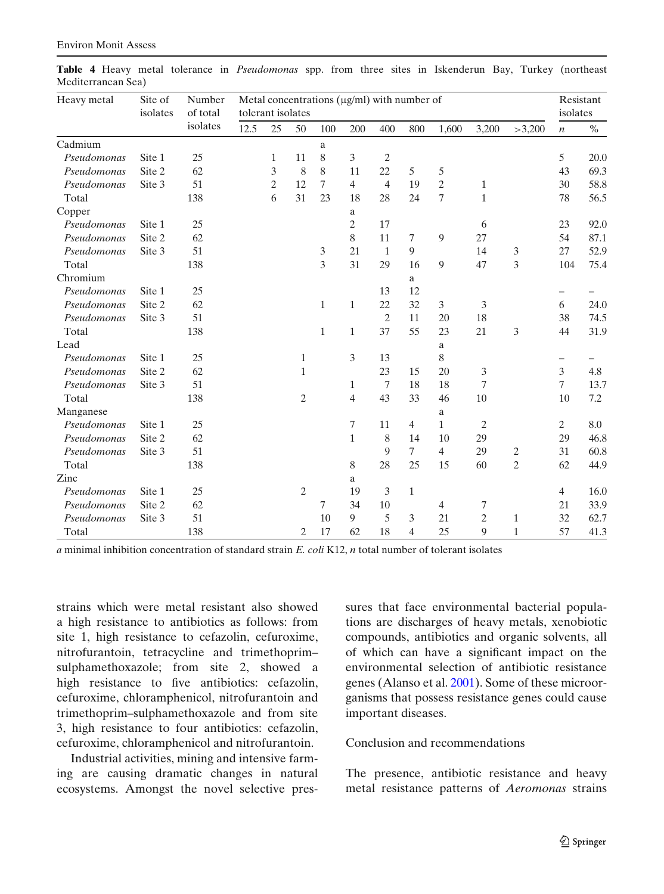| Heavy metal | Site of<br>isolates | Number<br>of total | Metal concentrations $(\mu g/ml)$ with number of<br>tolerant isolates |                |                |              |                |                |                |                |                |              |                  | Resistant<br>isolates |  |
|-------------|---------------------|--------------------|-----------------------------------------------------------------------|----------------|----------------|--------------|----------------|----------------|----------------|----------------|----------------|--------------|------------------|-----------------------|--|
|             |                     | isolates           | 12.5                                                                  | 25             | 50             | 100          | 200            | 400            | 800            | 1,600          | 3,200          | >3,200       | $\boldsymbol{n}$ | $\%$                  |  |
| Cadmium     |                     |                    |                                                                       |                |                | a            |                |                |                |                |                |              |                  |                       |  |
| Pseudomonas | Site 1              | 25                 |                                                                       | 1              | 11             | 8            | 3              | $\overline{2}$ |                |                |                |              | 5                | 20.0                  |  |
| Pseudomonas | Site 2              | 62                 |                                                                       | 3              | 8              | 8            | 11             | 22             | 5              | 5              |                |              | 43               | 69.3                  |  |
| Pseudomonas | Site 3              | 51                 |                                                                       | $\mathfrak{2}$ | 12             | $\tau$       | $\overline{4}$ | $\overline{4}$ | 19             | $\mathfrak{2}$ | $\mathbf{1}$   |              | 30               | 58.8                  |  |
| Total       |                     | 138                |                                                                       | 6              | 31             | 23           | 18             | 28             | 24             | 7              | $\mathbf{1}$   |              | 78               | 56.5                  |  |
| Copper      |                     |                    |                                                                       |                |                |              | a              |                |                |                |                |              |                  |                       |  |
| Pseudomonas | Site 1              | 25                 |                                                                       |                |                |              | $\overline{c}$ | 17             |                |                | 6              |              | 23               | 92.0                  |  |
| Pseudomonas | Site 2              | 62                 |                                                                       |                |                |              | 8              | 11             | 7              | 9              | 27             |              | 54               | 87.1                  |  |
| Pseudomonas | Site 3              | 51                 |                                                                       |                |                | 3            | 21             | $\mathbf{1}$   | 9              |                | 14             | 3            | 27               | 52.9                  |  |
| Total       |                     | 138                |                                                                       |                |                | 3            | 31             | 29             | 16             | 9              | 47             | 3            | 104              | 75.4                  |  |
| Chromium    |                     |                    |                                                                       |                |                |              |                |                | a              |                |                |              |                  |                       |  |
| Pseudomonas | Site 1              | 25                 |                                                                       |                |                |              |                | 13             | 12             |                |                |              | $\qquad \qquad$  |                       |  |
| Pseudomonas | Site 2              | 62                 |                                                                       |                |                | $\mathbf{1}$ | $\mathbf{1}$   | 22             | 32             | 3              | 3              |              | 6                | 24.0                  |  |
| Pseudomonas | Site 3              | 51                 |                                                                       |                |                |              |                | $\overline{2}$ | 11             | 20             | 18             |              | 38               | 74.5                  |  |
| Total       |                     | 138                |                                                                       |                |                | $\mathbf{1}$ | $\mathbf{1}$   | 37             | 55             | 23             | 21             | 3            | 44               | 31.9                  |  |
| Lead        |                     |                    |                                                                       |                |                |              |                |                |                | a              |                |              |                  |                       |  |
| Pseudomonas | Site 1              | 25                 |                                                                       |                | $\mathbf{1}$   |              | 3              | 13             |                | 8              |                |              |                  |                       |  |
| Pseudomonas | Site 2              | 62                 |                                                                       |                | $\mathbf{1}$   |              |                | 23             | 15             | 20             | 3              |              | 3                | 4.8                   |  |
| Pseudomonas | Site 3              | 51                 |                                                                       |                |                |              | 1              | 7              | 18             | 18             | 7              |              | $\overline{7}$   | 13.7                  |  |
| Total       |                     | 138                |                                                                       |                | $\mathfrak{2}$ |              | $\overline{4}$ | 43             | 33             | 46             | 10             |              | 10               | $7.2\,$               |  |
| Manganese   |                     |                    |                                                                       |                |                |              |                |                |                | a              |                |              |                  |                       |  |
| Pseudomonas | Site 1              | 25                 |                                                                       |                |                |              | 7              | 11             | $\overline{4}$ | $\mathbf{1}$   | $\mathfrak{2}$ |              | $\mathbf{2}$     | 8.0                   |  |
| Pseudomonas | Site 2              | 62                 |                                                                       |                |                |              | $\mathbf{1}$   | 8              | 14             | 10             | 29             |              | 29               | 46.8                  |  |
| Pseudomonas | Site 3              | 51                 |                                                                       |                |                |              |                | 9              | $\tau$         | $\overline{4}$ | 29             | 2            | 31               | 60.8                  |  |
| Total       |                     | 138                |                                                                       |                |                |              | 8              | 28             | 25             | 15             | 60             | 2            | 62               | 44.9                  |  |
| Zinc        |                     |                    |                                                                       |                |                |              | a              |                |                |                |                |              |                  |                       |  |
| Pseudomonas | Site 1              | 25                 |                                                                       |                | $\mathfrak{2}$ |              | 19             | 3              | $\mathbf{1}$   |                |                |              | $\overline{4}$   | 16.0                  |  |
| Pseudomonas | Site 2              | 62                 |                                                                       |                |                | 7            | 34             | 10             |                | $\overline{4}$ | 7              |              | 21               | 33.9                  |  |
| Pseudomonas | Site 3              | 51                 |                                                                       |                |                | 10           | 9              | 5              | 3              | 21             | $\mathbf{2}$   | 1            | 32               | 62.7                  |  |
| Total       |                     | 138                |                                                                       |                | 2              | 17           | 62             | 18             | 4              | 25             | 9              | $\mathbf{1}$ | 57               | 41.3                  |  |

<span id="page-8-0"></span>**Table 4** Heavy metal tolerance in *Pseudomonas* spp. from three sites in Iskenderun Bay, Turkey (northeast Mediterranean Sea)

*a* minimal inhibition concentration of standard strain *E. coli* K12, *n* total number of tolerant isolates

strains which were metal resistant also showed a high resistance to antibiotics as follows: from site 1, high resistance to cefazolin, cefuroxime, nitrofurantoin, tetracycline and trimethoprim– sulphamethoxazole; from site 2, showed a high resistance to five antibiotics: cefazolin, cefuroxime, chloramphenicol, nitrofurantoin and trimethoprim–sulphamethoxazole and from site 3, high resistance to four antibiotics: cefazolin, cefuroxime, chloramphenicol and nitrofurantoin.

Industrial activities, mining and intensive farming are causing dramatic changes in natural ecosystems. Amongst the novel selective pressures that face environmental bacterial populations are discharges of heavy metals, xenobiotic compounds, antibiotics and organic solvents, all of which can have a significant impact on the environmental selection of antibiotic resistance genes (Alanso et al[.](#page-9-0) [2001\)](#page-9-0). Some of these microorganisms that possess resistance genes could cause important diseases.

### Conclusion and recommendations

The presence, antibiotic resistance and heavy metal resistance patterns of *Aeromonas* strains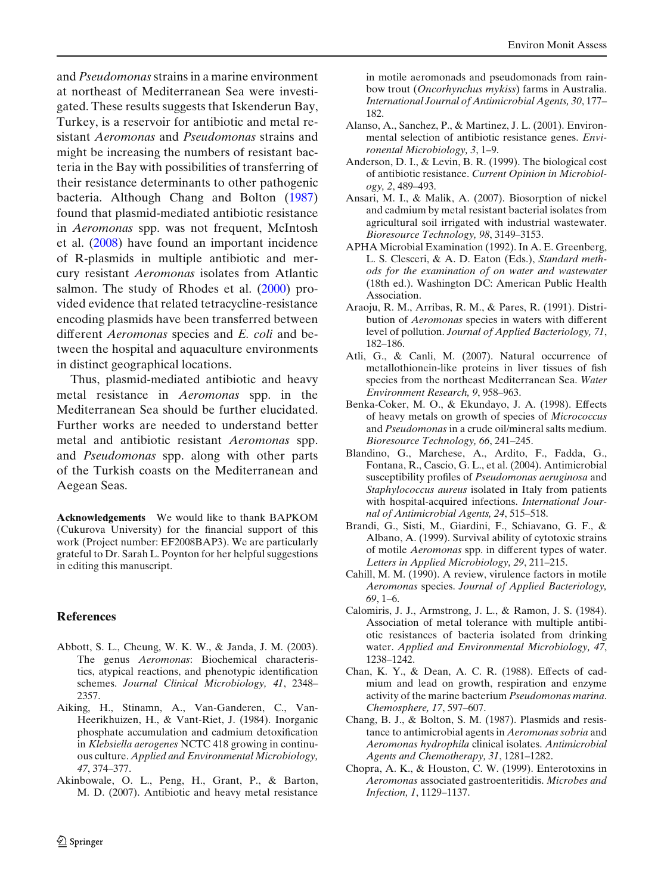<span id="page-9-0"></span>and *Pseudomonas*strains in a marine environment at northeast of Mediterranean Sea were investigated. These results suggests that Iskenderun Bay, Turkey, is a reservoir for antibiotic and metal resistant *Aeromonas* and *Pseudomonas* strains and might be increasing the numbers of resistant bacteria in the Bay with possibilities of transferring of their resistance determinants to other pathogenic bacteria. Although Chang and Bolton (1987) found that plasmid-mediated antibiotic resistance in *Aeromonas* spp. was not frequent, McIntosh et al[.](#page-10-0) [\(2008](#page-10-0)) have found an important incidence of R-plasmids in multiple antibiotic and mercury resistant *Aeromonas* isolates from Atlantic salmon[.](#page-11-0) The study of Rhodes et al. [\(2000\)](#page-11-0) provided evidence that related tetracycline-resistance encoding plasmids have been transferred between different *Aeromonas* species and *E. coli* and between the hospital and aquaculture environments in distinct geographical locations.

Thus, plasmid-mediated antibiotic and heavy metal resistance in *Aeromonas* spp. in the Mediterranean Sea should be further elucidated. Further works are needed to understand better metal and antibiotic resistant *Aeromonas* spp. and *Pseudomonas* spp. along with other parts of the Turkish coasts on the Mediterranean and Aegean Seas.

**Acknowledgements** We would like to thank BAPKOM (Cukurova University) for the financial support of this work (Project number: EF2008BAP3). We are particularly grateful to Dr. Sarah L. Poynton for her helpful suggestions in editing this manuscript.

### **References**

- Abbott, S. L., Cheung, W. K. W., & Janda, J. M. (2003). The genus *Aeromonas*: Biochemical characteristics, atypical reactions, and phenotypic identification schemes. *Journal Clinical Microbiology, 41*, 2348– 2357.
- Aiking, H., Stinamn, A., Van-Ganderen, C., Van-Heerikhuizen, H., & Vant-Riet, J. (1984). Inorganic phosphate accumulation and cadmium detoxification in *Klebsiella aerogenes* NCTC 418 growing in continuous culture. *Applied and Environmental Microbiology, 47*, 374–377.
- Akinbowale, O. L., Peng, H., Grant, P., & Barton, M. D. (2007). Antibiotic and heavy metal resistance

in motile aeromonads and pseudomonads from rainbow trout (*Oncorhynchus mykiss*) farms in Australia. *International Journal of Antimicrobial Agents, 30*, 177– 182.

- Alanso, A., Sanchez, P., & Martinez, J. L. (2001). Environmental selection of antibiotic resistance genes. *Environental Microbiology, 3*, 1–9.
- Anderson, D. I., & Levin, B. R. (1999). The biological cost of antibiotic resistance. *Current Opinion in Microbiology, 2*, 489–493.
- Ansari, M. I., & Malik, A. (2007). Biosorption of nickel and cadmium by metal resistant bacterial isolates from agricultural soil irrigated with industrial wastewater. *Bioresource Technology, 98*, 3149–3153.
- APHA Microbial Examination (1992). In A. E. Greenberg, L. S. Clesceri, & A. D. Eaton (Eds.), *Standard methods for the examination of on water and wastewater* (18th ed.). Washington DC: American Public Health Association.
- Araoju, R. M., Arribas, R. M., & Pares, R. (1991). Distribution of *Aeromonas* species in waters with different level of pollution. *Journal of Applied Bacteriology, 71*, 182–186.
- Atli, G., & Canli, M. (2007). Natural occurrence of metallothionein-like proteins in liver tissues of fish species from the northeast Mediterranean Sea. *Water Environment Research, 9*, 958–963.
- Benka-Coker, M. O., & Ekundayo, J. A. (1998). Effects of heavy metals on growth of species of *Micrococcus* and *Pseudomonas* in a crude oil/mineral salts medium. *Bioresource Technology, 66*, 241–245.
- Blandino, G., Marchese, A., Ardito, F., Fadda, G., Fontana, R., Cascio, G. L., et al. (2004). Antimicrobial susceptibility profiles of *Pseudomonas aeruginosa* and *Staphylococcus aureus* isolated in Italy from patients with hospital-acquired infections. *International Journal of Antimicrobial Agents, 24*, 515–518.
- Brandi, G., Sisti, M., Giardini, F., Schiavano, G. F., & Albano, A. (1999). Survival ability of cytotoxic strains of motile *Aeromonas* spp. in different types of water. *Letters in Applied Microbiology, 29*, 211–215.
- Cahill, M. M. (1990). A review, virulence factors in motile *Aeromonas* species. *Journal of Applied Bacteriology, 69*, 1–6.
- Calomiris, J. J., Armstrong, J. L., & Ramon, J. S. (1984). Association of metal tolerance with multiple antibiotic resistances of bacteria isolated from drinking water. *Applied and Environmental Microbiology, 47*, 1238–1242.
- Chan, K. Y., & Dean, A. C. R. (1988). Effects of cadmium and lead on growth, respiration and enzyme activity of the marine bacterium *Pseudomonas marina*. *Chemosphere, 17*, 597–607.
- Chang, B. J., & Bolton, S. M. (1987). Plasmids and resistance to antimicrobial agents in *Aeromonas sobria* and *Aeromonas hydrophila* clinical isolates. *Antimicrobial Agents and Chemotherapy, 31*, 1281–1282.
- Chopra, A. K., & Houston, C. W. (1999). Enterotoxins in *Aeromonas* associated gastroenteritidis. *Microbes and Infection, 1*, 1129–1137.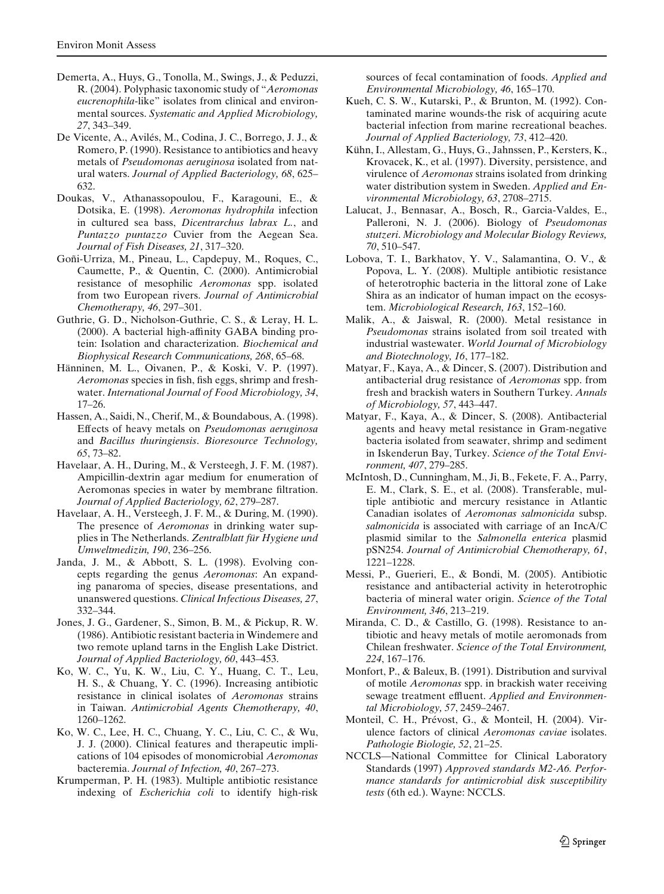- <span id="page-10-0"></span>Demerta, A., Huys, G., Tonolla, M., Swings, J., & Peduzzi, R. (2004). Polyphasic taxonomic study of "*Aeromonas eucrenophila*-like" isolates from clinical and environmental sources. *Systematic and Applied Microbiology, 27*, 343–349.
- De Vicente, A., Avilés, M., Codina, J. C., Borrego, J. J., & Romero, P. (1990). Resistance to antibiotics and heavy metals of *Pseudomonas aeruginosa* isolated from natural waters. *Journal of Applied Bacteriology, 68*, 625– 632.
- Doukas, V., Athanassopoulou, F., Karagouni, E., & Dotsika, E. (1998). *Aeromonas hydrophila* infection in cultured sea bass, *Dicentrarchus labrax L.*, and *Puntazzo puntazzo* Cuvier from the Aegean Sea. *Journal of Fish Diseases, 21*, 317–320.
- Goñi-Urriza, M., Pineau, L., Capdepuy, M., Roques, C., Caumette, P., & Quentin, C. (2000). Antimicrobial resistance of mesophilic *Aeromonas* spp. isolated from two European rivers. *Journal of Antimicrobial Chemotherapy, 46*, 297–301.
- Guthrie, G. D., Nicholson-Guthrie, C. S., & Leray, H. L. (2000). A bacterial high-affinity GABA binding protein: Isolation and characterization. *Biochemical and Biophysical Research Communications, 268*, 65–68.
- Hänninen, M. L., Oivanen, P., & Koski, V. P. (1997). *Aeromonas* species in fish, fish eggs, shrimp and freshwater. *International Journal of Food Microbiology, 34*, 17–26.
- Hassen, A., Saidi, N., Cherif, M., & Boundabous, A. (1998). Effects of heavy metals on *Pseudomonas aeruginosa* and *Bacillus thuringiensis*. *Bioresource Technology, 65*, 73–82.
- Havelaar, A. H., During, M., & Versteegh, J. F. M. (1987). Ampicillin-dextrin agar medium for enumeration of Aeromonas species in water by membrane filtration. *Journal of Applied Bacteriology, 62*, 279–287.
- Havelaar, A. H., Versteegh, J. F. M., & During, M. (1990). The presence of *Aeromonas* in drinking water supplies in The Netherlands. *Zentralblatt für Hygiene und Umweltmedizin, 190*, 236–256.
- Janda, J. M., & Abbott, S. L. (1998). Evolving concepts regarding the genus *Aeromonas*: An expanding panaroma of species, disease presentations, and unanswered questions. *Clinical Infectious Diseases, 27*, 332–344.
- Jones, J. G., Gardener, S., Simon, B. M., & Pickup, R. W. (1986). Antibiotic resistant bacteria in Windemere and two remote upland tarns in the English Lake District. *Journal of Applied Bacteriology, 60*, 443–453.
- Ko, W. C., Yu, K. W., Liu, C. Y., Huang, C. T., Leu, H. S., & Chuang, Y. C. (1996). Increasing antibiotic resistance in clinical isolates of *Aeromonas* strains in Taiwan. *Antimicrobial Agents Chemotherapy, 40*, 1260–1262.
- Ko, W. C., Lee, H. C., Chuang, Y. C., Liu, C. C., & Wu, J. J. (2000). Clinical features and therapeutic implications of 104 episodes of monomicrobial *Aeromonas* bacteremia. *Journal of Infection, 40*, 267–273.
- Krumperman, P. H. (1983). Multiple antibiotic resistance indexing of *Escherichia coli* to identify high-risk

sources of fecal contamination of foods. *Applied and Environmental Microbiology, 46*, 165–170.

- Kueh, C. S. W., Kutarski, P., & Brunton, M. (1992). Contaminated marine wounds-the risk of acquiring acute bacterial infection from marine recreational beaches. *Journal of Applied Bacteriology, 73*, 412–420.
- Kühn, I., Allestam, G., Huys, G., Jahnssen, P., Kersters, K., Krovacek, K., et al. (1997). Diversity, persistence, and virulence of *Aeromonas* strains isolated from drinking water distribution system in Sweden. *Applied and Environmental Microbiology, 63*, 2708–2715.
- Lalucat, J., Bennasar, A., Bosch, R., Garcia-Valdes, E., Palleroni, N. J. (2006). Biology of *Pseudomonas stutzeri*. *Microbiology and Molecular Biology Reviews, 70*, 510–547.
- Lobova, T. I., Barkhatov, Y. V., Salamantina, O. V., & Popova, L. Y. (2008). Multiple antibiotic resistance of heterotrophic bacteria in the littoral zone of Lake Shira as an indicator of human impact on the ecosystem. *Microbiological Research, 163*, 152–160.
- Malik, A., & Jaiswal, R. (2000). Metal resistance in *Pseudomonas* strains isolated from soil treated with industrial wastewater. *World Journal of Microbiology and Biotechnology, 16*, 177–182.
- Matyar, F., Kaya, A., & Dincer, S. (2007). Distribution and antibacterial drug resistance of *Aeromonas* spp. from fresh and brackish waters in Southern Turkey. *Annals of Microbiology, 57*, 443–447.
- Matyar, F., Kaya, A., & Dincer, S. (2008). Antibacterial agents and heavy metal resistance in Gram-negative bacteria isolated from seawater, shrimp and sediment in Iskenderun Bay, Turkey. *Science of the Total Environment, 407*, 279–285.
- McIntosh, D., Cunningham, M., Ji, B., Fekete, F. A., Parry, E. M., Clark, S. E., et al. (2008). Transferable, multiple antibiotic and mercury resistance in Atlantic Canadian isolates of *Aeromonas salmonicida* subsp. *salmonicida* is associated with carriage of an IncA/C plasmid similar to the *Salmonella enterica* plasmid pSN254. *Journal of Antimicrobial Chemotherapy, 61*, 1221–1228.
- Messi, P., Guerieri, E., & Bondi, M. (2005). Antibiotic resistance and antibacterial activity in heterotrophic bacteria of mineral water origin. *Science of the Total Environment, 346*, 213–219.
- Miranda, C. D., & Castillo, G. (1998). Resistance to antibiotic and heavy metals of motile aeromonads from Chilean freshwater. *Science of the Total Environment, 224*, 167–176.
- Monfort, P., & Baleux, B. (1991). Distribution and survival of motile *Aeromonas* spp. in brackish water receiving sewage treatment effluent. *Applied and Environmental Microbiology, 57*, 2459–2467.
- Monteil, C. H., Prévost, G., & Monteil, H. (2004). Virulence factors of clinical *Aeromonas caviae* isolates. *Pathologie Biologie, 52*, 21–25.
- NCCLS—National Committee for Clinical Laboratory Standards (1997) *Approved standards M2-A6. Performance standards for antimicrobial disk susceptibility tests* (6th ed.). Wayne: NCCLS.